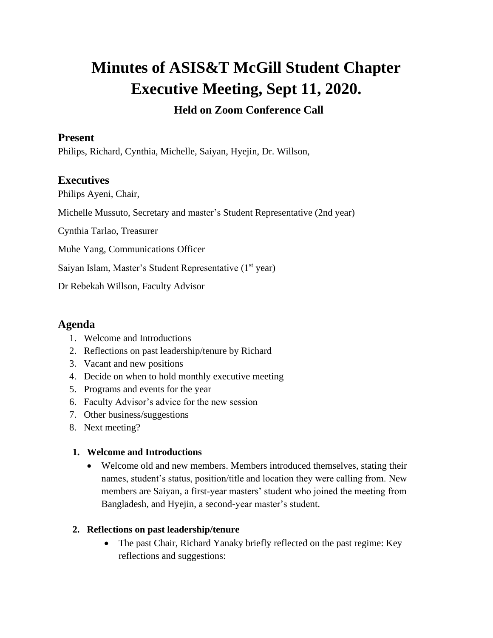# **Minutes of ASIS&T McGill Student Chapter Executive Meeting, Sept 11, 2020. Held on Zoom Conference Call**

### **Present**

Philips, Richard, Cynthia, Michelle, Saiyan, Hyejin, Dr. Willson,

# **Executives**

Philips Ayeni, Chair,

Michelle Mussuto, Secretary and master's Student Representative (2nd year)

Cynthia Tarlao, Treasurer

Muhe Yang, Communications Officer

Saiyan Islam, Master's Student Representative (1st year)

Dr Rebekah Willson, Faculty Advisor

## **Agenda**

- 1. Welcome and Introductions
- 2. Reflections on past leadership/tenure by Richard
- 3. Vacant and new positions
- 4. Decide on when to hold monthly executive meeting
- 5. Programs and events for the year
- 6. Faculty Advisor's advice for the new session
- 7. Other business/suggestions
- 8. Next meeting?

#### **1. Welcome and Introductions**

• Welcome old and new members. Members introduced themselves, stating their names, student's status, position/title and location they were calling from. New members are Saiyan, a first-year masters' student who joined the meeting from Bangladesh, and Hyejin, a second-year master's student.

#### **2. Reflections on past leadership/tenure**

• The past Chair, Richard Yanaky briefly reflected on the past regime: Key reflections and suggestions: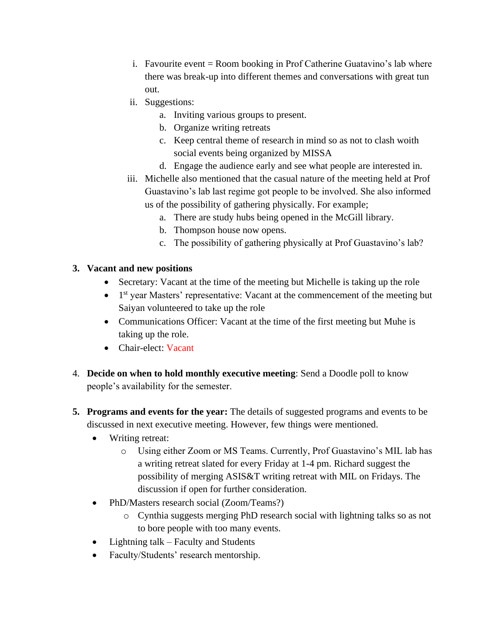- i. Favourite event  $=$  Room booking in Prof Catherine Guatavino's lab where there was break-up into different themes and conversations with great tun out.
- ii. Suggestions:
	- a. Inviting various groups to present.
	- b. Organize writing retreats
	- c. Keep central theme of research in mind so as not to clash woith social events being organized by MISSA
	- d. Engage the audience early and see what people are interested in.
- iii. Michelle also mentioned that the casual nature of the meeting held at Prof Guastavino's lab last regime got people to be involved. She also informed us of the possibility of gathering physically. For example;
	- a. There are study hubs being opened in the McGill library.
	- b. Thompson house now opens.
	- c. The possibility of gathering physically at Prof Guastavino's lab?

#### **3. Vacant and new positions**

- Secretary: Vacant at the time of the meeting but Michelle is taking up the role
- 1<sup>st</sup> year Masters' representative: Vacant at the commencement of the meeting but Saiyan volunteered to take up the role
- Communications Officer: Vacant at the time of the first meeting but Muhe is taking up the role.
- Chair-elect: Vacant
- 4. **Decide on when to hold monthly executive meeting**: Send a Doodle poll to know people's availability for the semester.
- **5. Programs and events for the year:** The details of suggested programs and events to be discussed in next executive meeting. However, few things were mentioned.
	- Writing retreat:
		- o Using either Zoom or MS Teams. Currently, Prof Guastavino's MIL lab has a writing retreat slated for every Friday at 1-4 pm. Richard suggest the possibility of merging ASIS&T writing retreat with MIL on Fridays. The discussion if open for further consideration.
	- PhD/Masters research social (Zoom/Teams?)
		- o Cynthia suggests merging PhD research social with lightning talks so as not to bore people with too many events.
	- Lightning talk Faculty and Students
	- Faculty/Students' research mentorship.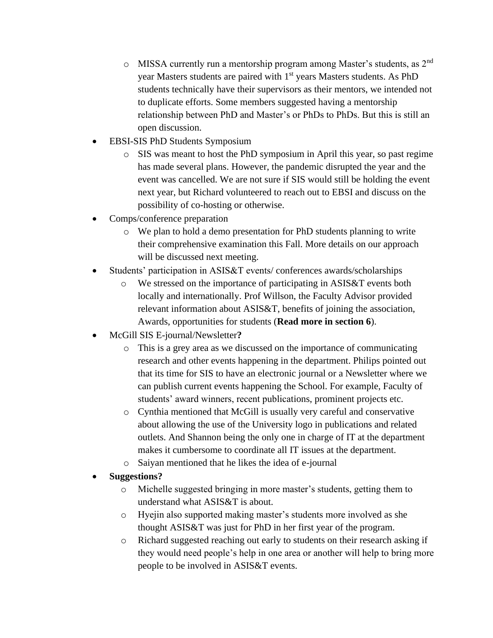- $\circ$  MISSA currently run a mentorship program among Master's students, as 2<sup>nd</sup> year Masters students are paired with 1<sup>st</sup> years Masters students. As PhD students technically have their supervisors as their mentors, we intended not to duplicate efforts. Some members suggested having a mentorship relationship between PhD and Master's or PhDs to PhDs. But this is still an open discussion.
- EBSI-SIS PhD Students Symposium
	- o SIS was meant to host the PhD symposium in April this year, so past regime has made several plans. However, the pandemic disrupted the year and the event was cancelled. We are not sure if SIS would still be holding the event next year, but Richard volunteered to reach out to EBSI and discuss on the possibility of co-hosting or otherwise.
- Comps/conference preparation
	- o We plan to hold a demo presentation for PhD students planning to write their comprehensive examination this Fall. More details on our approach will be discussed next meeting.
- Students' participation in ASIS&T events/ conferences awards/scholarships
	- o We stressed on the importance of participating in ASIS&T events both locally and internationally. Prof Willson, the Faculty Advisor provided relevant information about ASIS&T, benefits of joining the association, Awards, opportunities for students (**Read more in section 6**).
- McGill SIS E-journal/Newsletter**?**
	- o This is a grey area as we discussed on the importance of communicating research and other events happening in the department. Philips pointed out that its time for SIS to have an electronic journal or a Newsletter where we can publish current events happening the School. For example, Faculty of students' award winners, recent publications, prominent projects etc.
	- o Cynthia mentioned that McGill is usually very careful and conservative about allowing the use of the University logo in publications and related outlets. And Shannon being the only one in charge of IT at the department makes it cumbersome to coordinate all IT issues at the department.
	- o Saiyan mentioned that he likes the idea of e-journal

## • **Suggestions?**

- o Michelle suggested bringing in more master's students, getting them to understand what ASIS&T is about.
- o Hyejin also supported making master's students more involved as she thought ASIS&T was just for PhD in her first year of the program.
- o Richard suggested reaching out early to students on their research asking if they would need people's help in one area or another will help to bring more people to be involved in ASIS&T events.